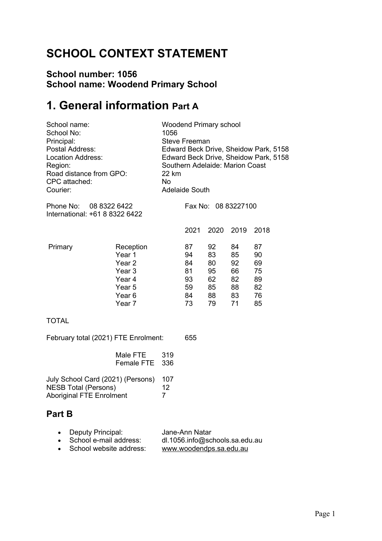# **SCHOOL CONTEXT STATEMENT**

### **School number: 1056 School name: Woodend Primary School**

# **1. General information Part A**

| School name:<br>School No:<br>Principal:<br>Postal Address:<br><b>Location Address:</b><br>Region:<br>Road distance from GPO:<br>CPC attached:<br>Courier: |                                                                                                                  | 1056<br>22 km<br><b>No</b>  | <b>Steve Freeman</b><br><b>Adelaide South</b> | <b>Woodend Primary school</b>                | Southern Adelaide: Marion Coast              | Edward Beck Drive, Sheidow Park, 5158<br>Edward Beck Drive, Sheidow Park, 5158 |
|------------------------------------------------------------------------------------------------------------------------------------------------------------|------------------------------------------------------------------------------------------------------------------|-----------------------------|-----------------------------------------------|----------------------------------------------|----------------------------------------------|--------------------------------------------------------------------------------|
| 08 8322 6422<br>Phone No:<br>International: +61 8 8322 6422                                                                                                |                                                                                                                  | Fax No: 08 83227100         |                                               |                                              |                                              |                                                                                |
|                                                                                                                                                            |                                                                                                                  |                             | 2021                                          | 2020                                         | 2019                                         | 2018                                                                           |
| Primary                                                                                                                                                    | Reception<br>Year 1<br>Year <sub>2</sub><br>Year <sub>3</sub><br>Year 4<br>Year 5<br>Year <sub>6</sub><br>Year 7 |                             | 87<br>94<br>84<br>81<br>93<br>59<br>84<br>73  | 92<br>83<br>80<br>95<br>62<br>85<br>88<br>79 | 84<br>85<br>92<br>66<br>82<br>88<br>83<br>71 | 87<br>90<br>69<br>75<br>89<br>82<br>76<br>85                                   |
| <b>TOTAL</b>                                                                                                                                               |                                                                                                                  |                             |                                               |                                              |                                              |                                                                                |
| February total (2021) FTE Enrolment:                                                                                                                       |                                                                                                                  |                             | 655                                           |                                              |                                              |                                                                                |
|                                                                                                                                                            | Male FTE<br><b>Female FTE</b>                                                                                    | 319<br>336                  |                                               |                                              |                                              |                                                                                |
| July School Card (2021) (Persons)<br><b>NESB Total (Persons)</b><br><b>Aboriginal FTE Enrolment</b>                                                        |                                                                                                                  | 107<br>12<br>$\overline{7}$ |                                               |                                              |                                              |                                                                                |

### **Part B**

| • Deputy Principal:       | Jane-Ann Natar                 |
|---------------------------|--------------------------------|
| • School e-mail address:  | dl.1056.info@schools.sa.edu.au |
| • School website address: | www.woodendps.sa.edu.au        |
|                           |                                |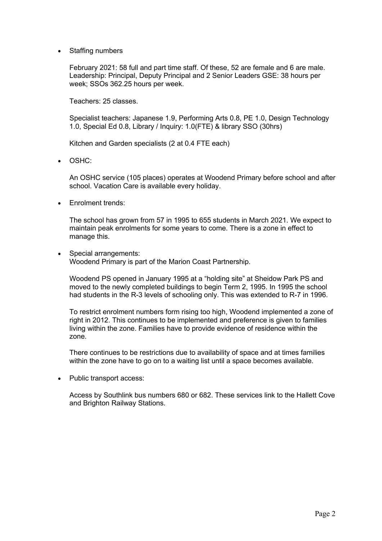• Staffing numbers

February 2021: 58 full and part time staff. Of these, 52 are female and 6 are male. Leadership: Principal, Deputy Principal and 2 Senior Leaders GSE: 38 hours per week; SSOs 362.25 hours per week.

Teachers: 25 classes.

Specialist teachers: Japanese 1.9, Performing Arts 0.8, PE 1.0, Design Technology 1.0, Special Ed 0.8, Library / Inquiry: 1.0(FTE) & library SSO (30hrs)

Kitchen and Garden specialists (2 at 0.4 FTE each)

• OSHC:

An OSHC service (105 places) operates at Woodend Primary before school and after school. Vacation Care is available every holiday.

• Enrolment trends:

The school has grown from 57 in 1995 to 655 students in March 2021. We expect to maintain peak enrolments for some years to come. There is a zone in effect to manage this.

• Special arrangements: Woodend Primary is part of the Marion Coast Partnership.

Woodend PS opened in January 1995 at a "holding site" at Sheidow Park PS and moved to the newly completed buildings to begin Term 2, 1995. In 1995 the school had students in the R-3 levels of schooling only. This was extended to R-7 in 1996.

To restrict enrolment numbers form rising too high, Woodend implemented a zone of right in 2012. This continues to be implemented and preference is given to families living within the zone. Families have to provide evidence of residence within the zone.

There continues to be restrictions due to availability of space and at times families within the zone have to go on to a waiting list until a space becomes available.

• Public transport access:

Access by Southlink bus numbers 680 or 682. These services link to the Hallett Cove and Brighton Railway Stations.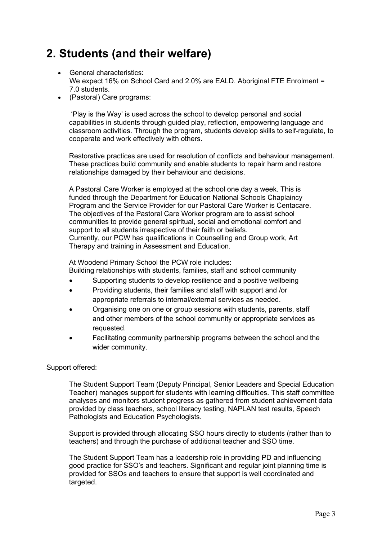## **2. Students (and their welfare)**

- General characteristics: We expect 16% on School Card and 2.0% are EALD. Aboriginal FTE Enrolment = 7.0 students.
- (Pastoral) Care programs:

'Play is the Way' is used across the school to develop personal and social capabilities in students through guided play, reflection, empowering language and classroom activities. Through the program, students develop skills to self-regulate, to cooperate and work effectively with others.

Restorative practices are used for resolution of conflicts and behaviour management. These practices build community and enable students to repair harm and restore relationships damaged by their behaviour and decisions.

A Pastoral Care Worker is employed at the school one day a week. This is funded through the Department for Education National Schools Chaplaincy Program and the Service Provider for our Pastoral Care Worker is Centacare. The objectives of the Pastoral Care Worker program are to assist school communities to provide general spiritual, social and emotional comfort and support to all students irrespective of their faith or beliefs. Currently, our PCW has qualifications in Counselling and Group work, Art Therapy and training in Assessment and Education.

At Woodend Primary School the PCW role includes:

Building relationships with students, families, staff and school community

- Supporting students to develop resilience and a positive wellbeing
- Providing students, their families and staff with support and /or appropriate referrals to internal/external services as needed.
- Organising one on one or group sessions with students, parents, staff and other members of the school community or appropriate services as requested.
- Facilitating community partnership programs between the school and the wider community.

#### Support offered:

The Student Support Team (Deputy Principal, Senior Leaders and Special Education Teacher) manages support for students with learning difficulties. This staff committee analyses and monitors student progress as gathered from student achievement data provided by class teachers, school literacy testing, NAPLAN test results, Speech Pathologists and Education Psychologists.

Support is provided through allocating SSO hours directly to students (rather than to teachers) and through the purchase of additional teacher and SSO time.

The Student Support Team has a leadership role in providing PD and influencing good practice for SSO's and teachers. Significant and regular joint planning time is provided for SSOs and teachers to ensure that support is well coordinated and targeted.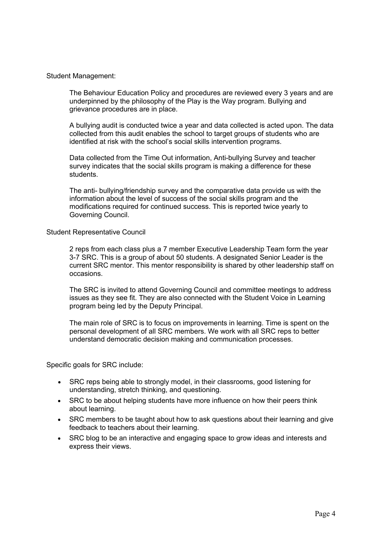#### Student Management:

The Behaviour Education Policy and procedures are reviewed every 3 years and are underpinned by the philosophy of the Play is the Way program. Bullying and grievance procedures are in place.

A bullying audit is conducted twice a year and data collected is acted upon. The data collected from this audit enables the school to target groups of students who are identified at risk with the school's social skills intervention programs.

Data collected from the Time Out information, Anti-bullying Survey and teacher survey indicates that the social skills program is making a difference for these students.

The anti- bullying/friendship survey and the comparative data provide us with the information about the level of success of the social skills program and the modifications required for continued success. This is reported twice yearly to Governing Council.

#### Student Representative Council

2 reps from each class plus a 7 member Executive Leadership Team form the year 3-7 SRC. This is a group of about 50 students. A designated Senior Leader is the current SRC mentor. This mentor responsibility is shared by other leadership staff on occasions.

The SRC is invited to attend Governing Council and committee meetings to address issues as they see fit. They are also connected with the Student Voice in Learning program being led by the Deputy Principal.

The main role of SRC is to focus on improvements in learning. Time is spent on the personal development of all SRC members. We work with all SRC reps to better understand democratic decision making and communication processes.

Specific goals for SRC include:

- SRC reps being able to strongly model, in their classrooms, good listening for understanding, stretch thinking, and questioning.
- SRC to be about helping students have more influence on how their peers think about learning.
- SRC members to be taught about how to ask questions about their learning and give feedback to teachers about their learning.
- SRC blog to be an interactive and engaging space to grow ideas and interests and express their views.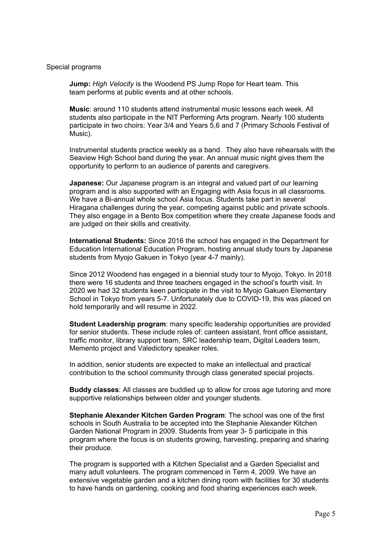#### Special programs

**Jump:** *High Velocity* is the Woodend PS Jump Rope for Heart team. This team performs at public events and at other schools.

**Music**: around 110 students attend instrumental music lessons each week. All students also participate in the NIT Performing Arts program. Nearly 100 students participate in two choirs: Year 3/4 and Years 5,6 and 7 (Primary Schools Festival of Music).

Instrumental students practice weekly as a band. They also have rehearsals with the Seaview High School band during the year. An annual music night gives them the opportunity to perform to an audience of parents and caregivers.

**Japanese:** Our Japanese program is an integral and valued part of our learning program and is also supported with an Engaging with Asia focus in all classrooms. We have a Bi-annual whole school Asia focus. Students take part in several Hiragana challenges during the year, competing against public and private schools. They also engage in a Bento Box competition where they create Japanese foods and are judged on their skills and creativity.

**International Students:** Since 2016 the school has engaged in the Department for Education International Education Program, hosting annual study tours by Japanese students from Myojo Gakuen in Tokyo (year 4-7 mainly).

Since 2012 Woodend has engaged in a biennial study tour to Myojo, Tokyo. In 2018 there were 16 students and three teachers engaged in the school's fourth visit. In 2020 we had 32 students keen participate in the visit to Myojo Gakuen Elementary School in Tokyo from years 5-7. Unfortunately due to COVID-19, this was placed on hold temporarily and will resume in 2022.

**Student Leadership program**: many specific leadership opportunities are provided for senior students. These include roles of: canteen assistant, front office assistant, traffic monitor, library support team, SRC leadership team, Digital Leaders team, Memento project and Valedictory speaker roles.

In addition, senior students are expected to make an intellectual and practical contribution to the school community through class generated special projects.

**Buddy classes**: All classes are buddied up to allow for cross age tutoring and more supportive relationships between older and younger students.

**Stephanie Alexander Kitchen Garden Program**: The school was one of the first schools in South Australia to be accepted into the Stephanie Alexander Kitchen Garden National Program in 2009. Students from year 3- 5 participate in this program where the focus is on students growing, harvesting, preparing and sharing their produce.

The program is supported with a Kitchen Specialist and a Garden Specialist and many adult volunteers. The program commenced in Term 4, 2009. We have an extensive vegetable garden and a kitchen dining room with facilities for 30 students to have hands on gardening, cooking and food sharing experiences each week.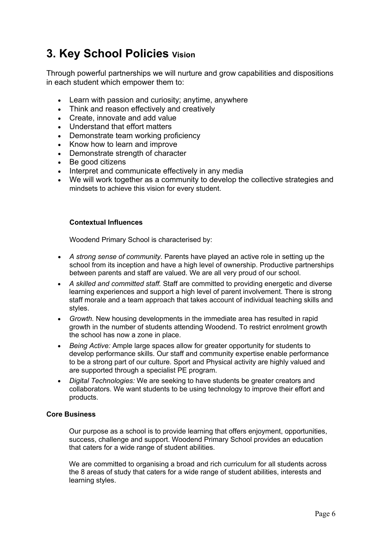## **3. Key School Policies Vision**

Through powerful partnerships we will nurture and grow capabilities and dispositions in each student which empower them to:

- Learn with passion and curiosity; anytime, anywhere
- Think and reason effectively and creatively
- Create, innovate and add value
- Understand that effort matters
- Demonstrate team working proficiency
- Know how to learn and improve
- Demonstrate strength of character
- Be good citizens
- Interpret and communicate effectively in any media
- We will work together as a community to develop the collective strategies and mindsets to achieve this vision for every student.

#### **Contextual Influences**

Woodend Primary School is characterised by:

- *A strong sense of community.* Parents have played an active role in setting up the school from its inception and have a high level of ownership. Productive partnerships between parents and staff are valued. We are all very proud of our school.
- *A skilled and committed staff.* Staff are committed to providing energetic and diverse learning experiences and support a high level of parent involvement. There is strong staff morale and a team approach that takes account of individual teaching skills and styles.
- *Growth.* New housing developments in the immediate area has resulted in rapid growth in the number of students attending Woodend. To restrict enrolment growth the school has now a zone in place.
- *Being Active:* Ample large spaces allow for greater opportunity for students to develop performance skills. Our staff and community expertise enable performance to be a strong part of our culture. Sport and Physical activity are highly valued and are supported through a specialist PE program.
- *Digital Technologies:* We are seeking to have students be greater creators and collaborators. We want students to be using technology to improve their effort and products.

#### **Core Business**

Our purpose as a school is to provide learning that offers enjoyment, opportunities, success, challenge and support. Woodend Primary School provides an education that caters for a wide range of student abilities.

We are committed to organising a broad and rich curriculum for all students across the 8 areas of study that caters for a wide range of student abilities, interests and learning styles.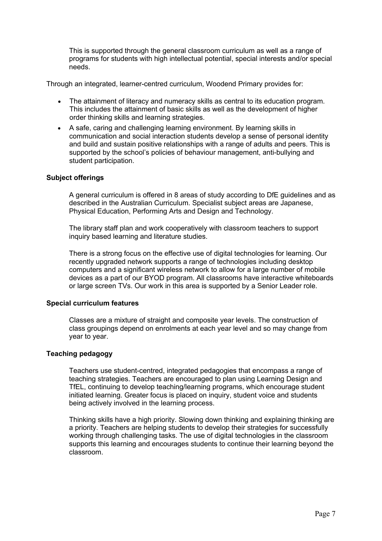This is supported through the general classroom curriculum as well as a range of programs for students with high intellectual potential, special interests and/or special needs.

Through an integrated, learner-centred curriculum, Woodend Primary provides for:

- The attainment of literacy and numeracy skills as central to its education program. This includes the attainment of basic skills as well as the development of higher order thinking skills and learning strategies.
- A safe, caring and challenging learning environment. By learning skills in communication and social interaction students develop a sense of personal identity and build and sustain positive relationships with a range of adults and peers. This is supported by the school's policies of behaviour management, anti-bullying and student participation.

#### **Subject offerings**

A general curriculum is offered in 8 areas of study according to DfE guidelines and as described in the Australian Curriculum. Specialist subject areas are Japanese, Physical Education, Performing Arts and Design and Technology.

The library staff plan and work cooperatively with classroom teachers to support inquiry based learning and literature studies.

There is a strong focus on the effective use of digital technologies for learning. Our recently upgraded network supports a range of technologies including desktop computers and a significant wireless network to allow for a large number of mobile devices as a part of our BYOD program. All classrooms have interactive whiteboards or large screen TVs. Our work in this area is supported by a Senior Leader role.

#### **Special curriculum features**

Classes are a mixture of straight and composite year levels. The construction of class groupings depend on enrolments at each year level and so may change from year to year.

#### **Teaching pedagogy**

Teachers use student-centred, integrated pedagogies that encompass a range of teaching strategies. Teachers are encouraged to plan using Learning Design and TfEL, continuing to develop teaching/learning programs, which encourage student initiated learning. Greater focus is placed on inquiry, student voice and students being actively involved in the learning process.

Thinking skills have a high priority. Slowing down thinking and explaining thinking are a priority. Teachers are helping students to develop their strategies for successfully working through challenging tasks. The use of digital technologies in the classroom supports this learning and encourages students to continue their learning beyond the classroom.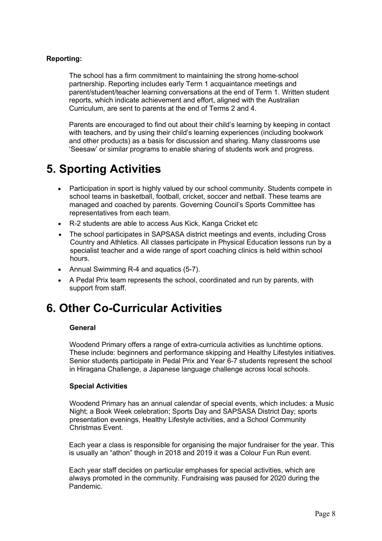#### **Reporting:**

The school has a firm commitment to maintaining the strong home-school partnership. Reporting includes early Term 1 acquaintance meetings and parent/student/teacher learning conversations at the end of Term 1. Written student reports, which indicate achievement and effort, aligned with the Australian Curriculum, are sent to parents at the end of Terms 2 and 4.

Parents are encouraged to find out about their child's learning by keeping in contact with teachers, and by using their child's learning experiences (including bookwork and other products) as a basis for discussion and sharing. Many classrooms use 'Seesaw' or similar programs to enable sharing of students work and progress.

### **5. Sporting Activities**

- Participation in sport is highly valued by our school community. Students compete in school teams in basketball, football, cricket, soccer and netball. These teams are managed and coached by parents. Governing Council's Sports Committee has representatives from each team.
- R-2 students are able to access Aus Kick, Kanga Cricket etc
- The school participates in SAPSASA district meetings and events, including Cross Country and Athletics. All classes participate in Physical Education lessons run by a specialist teacher and a wide range of sport coaching clinics is held within school hours.
- Annual Swimming R-4 and aquatics (5-7).
- A Pedal Prix team represents the school, coordinated and run by parents, with support from staff.

## **6. Other Co-Curricular Activities**

#### **General**

Woodend Primary offers a range of extra-curricula activities as lunchtime options. These include: beginners and performance skipping and Healthy Lifestyles initiatives. Senior students participate in Pedal Prix and Year 6-7 students represent the school in Hiragana Challenge, a Japanese language challenge across local schools.

#### **Special Activities**

Woodend Primary has an annual calendar of special events, which includes: a Music Night; a Book Week celebration; Sports Day and SAPSASA District Day; sports presentation evenings, Healthy Lifestyle activities, and a School Community Christmas Event.

Each year a class is responsible for organising the major fundraiser for the year. This is usually an "athon" though in 2018 and 2019 it was a Colour Fun Run event.

Each year staff decides on particular emphases for special activities, which are always promoted in the community. Fundraising was paused for 2020 during the Pandemic.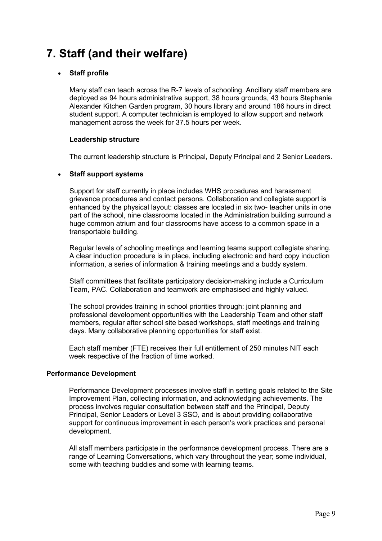## **7. Staff (and their welfare)**

#### • **Staff profile**

Many staff can teach across the R-7 levels of schooling. Ancillary staff members are deployed as 94 hours administrative support, 38 hours grounds, 43 hours Stephanie Alexander Kitchen Garden program, 30 hours library and around 186 hours in direct student support. A computer technician is employed to allow support and network management across the week for 37.5 hours per week.

#### **Leadership structure**

The current leadership structure is Principal, Deputy Principal and 2 Senior Leaders.

#### • **Staff support systems**

Support for staff currently in place includes WHS procedures and harassment grievance procedures and contact persons. Collaboration and collegiate support is enhanced by the physical layout: classes are located in six two- teacher units in one part of the school, nine classrooms located in the Administration building surround a huge common atrium and four classrooms have access to a common space in a transportable building.

Regular levels of schooling meetings and learning teams support collegiate sharing. A clear induction procedure is in place, including electronic and hard copy induction information, a series of information & training meetings and a buddy system.

Staff committees that facilitate participatory decision-making include a Curriculum Team, PAC. Collaboration and teamwork are emphasised and highly valued.

The school provides training in school priorities through: joint planning and professional development opportunities with the Leadership Team and other staff members, regular after school site based workshops, staff meetings and training days. Many collaborative planning opportunities for staff exist.

Each staff member (FTE) receives their full entitlement of 250 minutes NIT each week respective of the fraction of time worked.

#### **Performance Development**

Performance Development processes involve staff in setting goals related to the Site Improvement Plan, collecting information, and acknowledging achievements. The process involves regular consultation between staff and the Principal, Deputy Principal, Senior Leaders or Level 3 SSO, and is about providing collaborative support for continuous improvement in each person's work practices and personal development.

All staff members participate in the performance development process. There are a range of Learning Conversations, which vary throughout the year; some individual, some with teaching buddies and some with learning teams.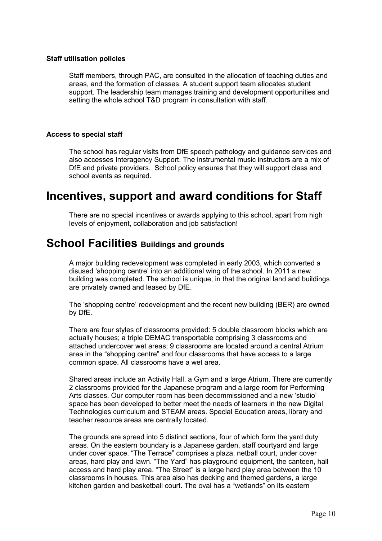#### **Staff utilisation policies**

Staff members, through PAC, are consulted in the allocation of teaching duties and areas, and the formation of classes. A student support team allocates student support. The leadership team manages training and development opportunities and setting the whole school T&D program in consultation with staff.

#### **Access to special staff**

The school has regular visits from DfE speech pathology and guidance services and also accesses Interagency Support. The instrumental music instructors are a mix of DfE and private providers. School policy ensures that they will support class and school events as required.

### **Incentives, support and award conditions for Staff**

There are no special incentives or awards applying to this school, apart from high levels of enjoyment, collaboration and job satisfaction!

### **School Facilities Buildings and grounds**

A major building redevelopment was completed in early 2003, which converted a disused 'shopping centre' into an additional wing of the school. In 2011 a new building was completed. The school is unique, in that the original land and buildings are privately owned and leased by DfE.

The 'shopping centre' redevelopment and the recent new building (BER) are owned by DfE.

There are four styles of classrooms provided: 5 double classroom blocks which are actually houses; a triple DEMAC transportable comprising 3 classrooms and attached undercover wet areas; 9 classrooms are located around a central Atrium area in the "shopping centre" and four classrooms that have access to a large common space. All classrooms have a wet area.

Shared areas include an Activity Hall, a Gym and a large Atrium. There are currently 2 classrooms provided for the Japanese program and a large room for Performing Arts classes. Our computer room has been decommissioned and a new 'studio' space has been developed to better meet the needs of learners in the new Digital Technologies curriculum and STEAM areas. Special Education areas, library and teacher resource areas are centrally located.

The grounds are spread into 5 distinct sections, four of which form the yard duty areas. On the eastern boundary is a Japanese garden, staff courtyard and large under cover space. "The Terrace" comprises a plaza, netball court, under cover areas, hard play and lawn. "The Yard" has playground equipment, the canteen, hall access and hard play area. "The Street" is a large hard play area between the 10 classrooms in houses. This area also has decking and themed gardens, a large kitchen garden and basketball court. The oval has a "wetlands" on its eastern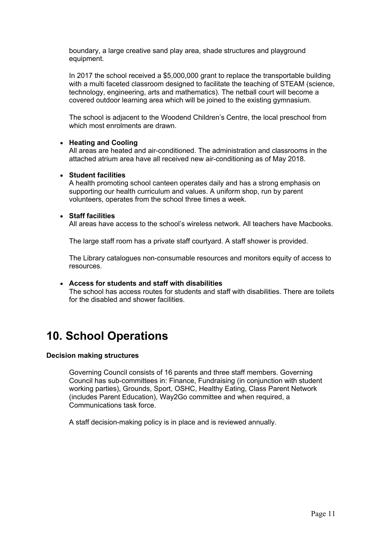boundary, a large creative sand play area, shade structures and playground equipment.

In 2017 the school received a \$5,000,000 grant to replace the transportable building with a multi faceted classroom designed to facilitate the teaching of STEAM (science, technology, engineering, arts and mathematics). The netball court will become a covered outdoor learning area which will be joined to the existing gymnasium.

The school is adjacent to the Woodend Children's Centre, the local preschool from which most enrolments are drawn.

#### • **Heating and Cooling**

All areas are heated and air-conditioned. The administration and classrooms in the attached atrium area have all received new air-conditioning as of May 2018.

#### • **Student facilities**

A health promoting school canteen operates daily and has a strong emphasis on supporting our health curriculum and values. A uniform shop, run by parent volunteers, operates from the school three times a week.

#### • **Staff facilities**

All areas have access to the school's wireless network. All teachers have Macbooks.

The large staff room has a private staff courtyard. A staff shower is provided.

The Library catalogues non-consumable resources and monitors equity of access to resources.

#### • **Access for students and staff with disabilities**

The school has access routes for students and staff with disabilities. There are toilets for the disabled and shower facilities.

### **10. School Operations**

#### **Decision making structures**

Governing Council consists of 16 parents and three staff members. Governing Council has sub-committees in: Finance, Fundraising (in conjunction with student working parties), Grounds, Sport, OSHC, Healthy Eating, Class Parent Network (includes Parent Education), Way2Go committee and when required, a Communications task force.

A staff decision-making policy is in place and is reviewed annually.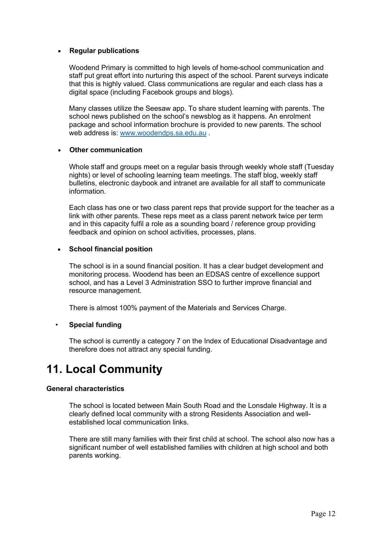#### • **Regular publications**

Woodend Primary is committed to high levels of home-school communication and staff put great effort into nurturing this aspect of the school. Parent surveys indicate that this is highly valued. Class communications are regular and each class has a digital space (including Facebook groups and blogs).

Many classes utilize the Seesaw app. To share student learning with parents. The school news published on the school's newsblog as it happens. An enrolment package and school information brochure is provided to new parents. The school web address is: www.woodendps.sa.edu.au .

#### • **Other communication**

Whole staff and groups meet on a regular basis through weekly whole staff (Tuesday nights) or level of schooling learning team meetings. The staff blog, weekly staff bulletins, electronic daybook and intranet are available for all staff to communicate information.

Each class has one or two class parent reps that provide support for the teacher as a link with other parents. These reps meet as a class parent network twice per term and in this capacity fulfil a role as a sounding board / reference group providing feedback and opinion on school activities, processes, plans.

#### • **School financial position**

The school is in a sound financial position. It has a clear budget development and monitoring process. Woodend has been an EDSAS centre of excellence support school, and has a Level 3 Administration SSO to further improve financial and resource management.

There is almost 100% payment of the Materials and Services Charge.

#### • **Special funding**

The school is currently a category 7 on the Index of Educational Disadvantage and therefore does not attract any special funding.

### **11. Local Community**

#### **General characteristics**

The school is located between Main South Road and the Lonsdale Highway. It is a clearly defined local community with a strong Residents Association and wellestablished local communication links.

There are still many families with their first child at school. The school also now has a significant number of well established families with children at high school and both parents working.